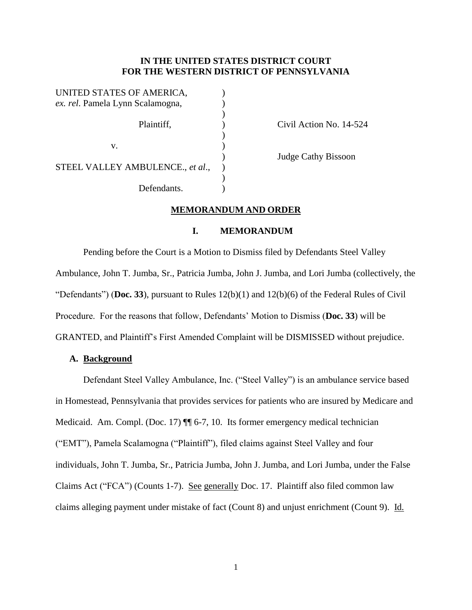# **IN THE UNITED STATES DISTRICT COURT FOR THE WESTERN DISTRICT OF PENNSYLVANIA**

| UNITED STATES OF AMERICA,        |  |
|----------------------------------|--|
| ex. rel. Pamela Lynn Scalamogna, |  |
|                                  |  |
| Plaintiff,                       |  |
|                                  |  |
| V.                               |  |
|                                  |  |
| STEEL VALLEY AMBULENCE., et al., |  |
|                                  |  |
| Defendants.                      |  |

Civil Action No. 14-524

) Judge Cathy Bissoon

# **MEMORANDUM AND ORDER**

### **I. MEMORANDUM**

Pending before the Court is a Motion to Dismiss filed by Defendants Steel Valley Ambulance, John T. Jumba, Sr., Patricia Jumba, John J. Jumba, and Lori Jumba (collectively, the "Defendants") (**Doc. 33**), pursuant to Rules  $12(b)(1)$  and  $12(b)(6)$  of the Federal Rules of Civil Procedure. For the reasons that follow, Defendants' Motion to Dismiss (**Doc. 33**) will be GRANTED, and Plaintiff's First Amended Complaint will be DISMISSED without prejudice.

## **A. Background**

Defendant Steel Valley Ambulance, Inc. ("Steel Valley") is an ambulance service based in Homestead, Pennsylvania that provides services for patients who are insured by Medicare and Medicaid. Am. Compl. (Doc. 17)  $\P\P$  6-7, 10. Its former emergency medical technician ("EMT"), Pamela Scalamogna ("Plaintiff"), filed claims against Steel Valley and four individuals, John T. Jumba, Sr., Patricia Jumba, John J. Jumba, and Lori Jumba, under the False Claims Act ("FCA") (Counts 1-7). See generally Doc. 17. Plaintiff also filed common law claims alleging payment under mistake of fact (Count 8) and unjust enrichment (Count 9). Id.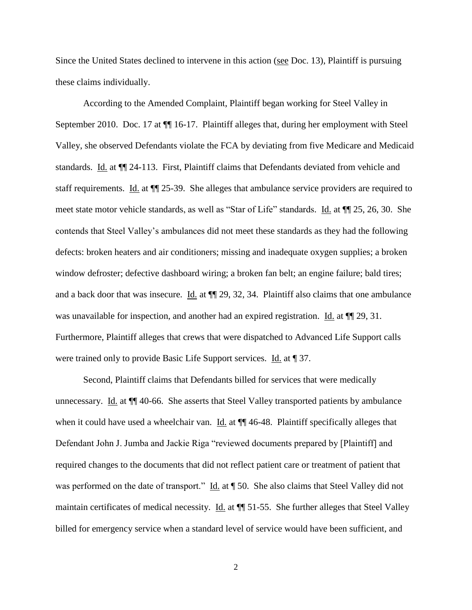Since the United States declined to intervene in this action (see Doc. 13), Plaintiff is pursuing these claims individually.

According to the Amended Complaint, Plaintiff began working for Steel Valley in September 2010. Doc. 17 at ¶¶ 16-17. Plaintiff alleges that, during her employment with Steel Valley, she observed Defendants violate the FCA by deviating from five Medicare and Medicaid standards. Id. at ¶¶ 24-113. First, Plaintiff claims that Defendants deviated from vehicle and staff requirements. Id. at ¶¶ 25-39. She alleges that ambulance service providers are required to meet state motor vehicle standards, as well as "Star of Life" standards. Id. at ¶¶ 25, 26, 30. She contends that Steel Valley's ambulances did not meet these standards as they had the following defects: broken heaters and air conditioners; missing and inadequate oxygen supplies; a broken window defroster; defective dashboard wiring; a broken fan belt; an engine failure; bald tires; and a back door that was insecure. Id. at  $\P$  29, 32, 34. Plaintiff also claims that one ambulance was unavailable for inspection, and another had an expired registration. Id. at  $\P$  29, 31. Furthermore, Plaintiff alleges that crews that were dispatched to Advanced Life Support calls were trained only to provide Basic Life Support services. Id. at 137.

Second, Plaintiff claims that Defendants billed for services that were medically unnecessary. Id. at ¶¶ 40-66. She asserts that Steel Valley transported patients by ambulance when it could have used a wheelchair van. Id. at  $\P$  46-48. Plaintiff specifically alleges that Defendant John J. Jumba and Jackie Riga "reviewed documents prepared by [Plaintiff] and required changes to the documents that did not reflect patient care or treatment of patient that was performed on the date of transport." Id. at  $\parallel$  50. She also claims that Steel Valley did not maintain certificates of medical necessity. Id. at ¶¶ 51-55. She further alleges that Steel Valley billed for emergency service when a standard level of service would have been sufficient, and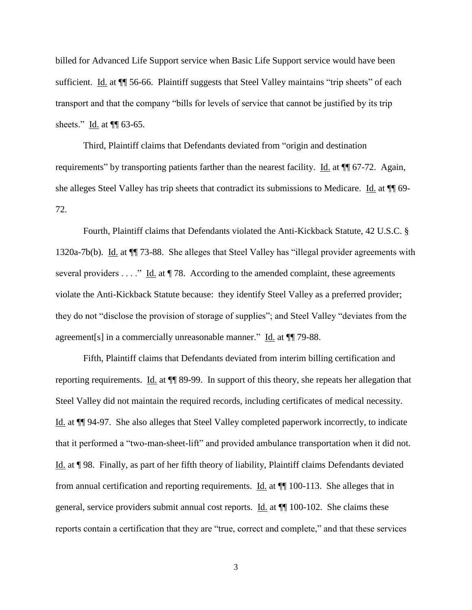billed for Advanced Life Support service when Basic Life Support service would have been sufficient. Id. at ¶¶ 56-66. Plaintiff suggests that Steel Valley maintains "trip sheets" of each transport and that the company "bills for levels of service that cannot be justified by its trip sheets." Id. at  $\P$  63-65.

Third, Plaintiff claims that Defendants deviated from "origin and destination requirements" by transporting patients farther than the nearest facility. Id. at ¶¶ 67-72. Again, she alleges Steel Valley has trip sheets that contradict its submissions to Medicare. Id. at  $\P$  69-72.

Fourth, Plaintiff claims that Defendants violated the Anti-Kickback Statute, 42 U.S.C. § 1320a-7b(b). Id. at ¶¶ 73-88. She alleges that Steel Valley has "illegal provider agreements with several providers . . . ." Id. at  $\P$  78. According to the amended complaint, these agreements violate the Anti-Kickback Statute because: they identify Steel Valley as a preferred provider; they do not "disclose the provision of storage of supplies"; and Steel Valley "deviates from the agreement[s] in a commercially unreasonable manner." Id. at ¶¶ 79-88.

Fifth, Plaintiff claims that Defendants deviated from interim billing certification and reporting requirements. Id. at ¶¶ 89-99. In support of this theory, she repeats her allegation that Steel Valley did not maintain the required records, including certificates of medical necessity. Id. at ¶¶ 94-97. She also alleges that Steel Valley completed paperwork incorrectly, to indicate that it performed a "two-man-sheet-lift" and provided ambulance transportation when it did not. Id. at ¶ 98. Finally, as part of her fifth theory of liability, Plaintiff claims Defendants deviated from annual certification and reporting requirements. Id. at ¶¶ 100-113. She alleges that in general, service providers submit annual cost reports. Id. at ¶¶ 100-102. She claims these reports contain a certification that they are "true, correct and complete," and that these services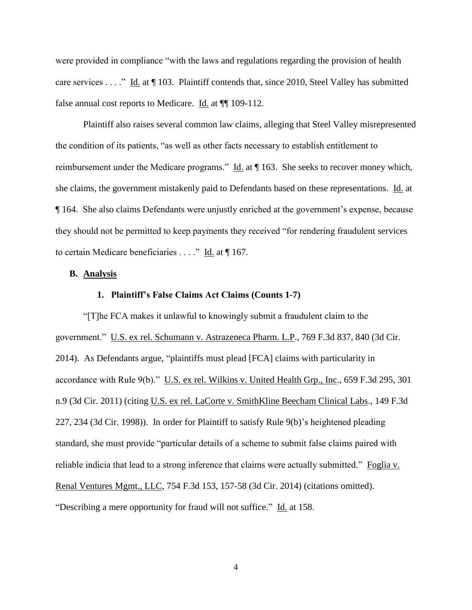were provided in compliance "with the laws and regulations regarding the provision of health care services . . . ." Id. at ¶ 103. Plaintiff contends that, since 2010, Steel Valley has submitted false annual cost reports to Medicare. Id. at  $\P$ [109-112.

Plaintiff also raises several common law claims, alleging that Steel Valley misrepresented the condition of its patients, "as well as other facts necessary to establish entitlement to reimbursement under the Medicare programs." Id. at ¶ 163. She seeks to recover money which, she claims, the government mistakenly paid to Defendants based on these representations. Id. at ¶ 164. She also claims Defendants were unjustly enriched at the government's expense, because they should not be permitted to keep payments they received "for rendering fraudulent services to certain Medicare beneficiaries . . . ." Id. at ¶ 167.

## **B. Analysis**

### **1. Plaintiff's False Claims Act Claims (Counts 1-7)**

"[T]he FCA makes it unlawful to knowingly submit a fraudulent claim to the government." U.S. ex rel. Schumann v. Astrazeneca Pharm. L.P., 769 F.3d 837, 840 (3d Cir. 2014). As Defendants argue, "plaintiffs must plead [FCA] claims with particularity in accordance with Rule 9(b)." U.S. ex rel. Wilkins v. United Health Grp., Inc., 659 F.3d 295, 301 n.9 (3d Cir. 2011) (citing U.S. ex rel. LaCorte v. SmithKline Beecham Clinical Labs., 149 F.3d 227, 234 (3d Cir. 1998)). In order for Plaintiff to satisfy Rule 9(b)'s heightened pleading standard, she must provide "particular details of a scheme to submit false claims paired with reliable indicia that lead to a strong inference that claims were actually submitted." Foglia v. Renal Ventures Mgmt., LLC, 754 F.3d 153, 157-58 (3d Cir. 2014) (citations omitted). "Describing a mere opportunity for fraud will not suffice." Id. at 158.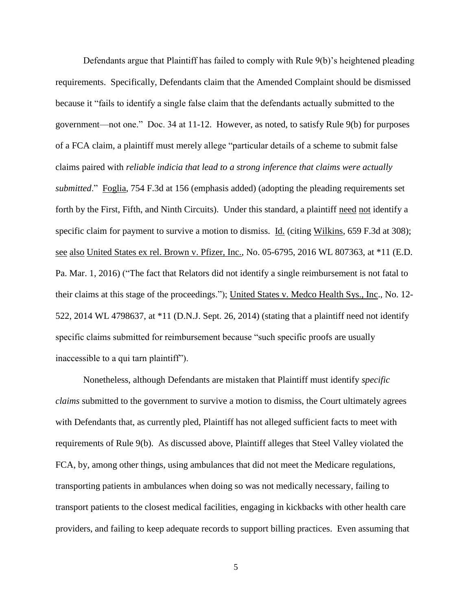Defendants argue that Plaintiff has failed to comply with Rule 9(b)'s heightened pleading requirements. Specifically, Defendants claim that the Amended Complaint should be dismissed because it "fails to identify a single false claim that the defendants actually submitted to the government—not one." Doc. 34 at 11-12. However, as noted, to satisfy Rule 9(b) for purposes of a FCA claim, a plaintiff must merely allege "particular details of a scheme to submit false claims paired with *reliable indicia that lead to a strong inference that claims were actually submitted*." Foglia, 754 F.3d at 156 (emphasis added) (adopting the pleading requirements set forth by the First, Fifth, and Ninth Circuits). Under this standard, a plaintiff need not identify a specific claim for payment to survive a motion to dismiss. Id. (citing Wilkins, 659 F.3d at 308); see also United States ex rel. Brown v. Pfizer, Inc., No. 05-6795, 2016 WL 807363, at \*11 (E.D. Pa. Mar. 1, 2016) ("The fact that Relators did not identify a single reimbursement is not fatal to their claims at this stage of the proceedings."); United States v. Medco Health Sys., Inc., No. 12- 522, 2014 WL 4798637, at \*11 (D.N.J. Sept. 26, 2014) (stating that a plaintiff need not identify specific claims submitted for reimbursement because "such specific proofs are usually inaccessible to a qui tarn plaintiff").

Nonetheless, although Defendants are mistaken that Plaintiff must identify *specific claims* submitted to the government to survive a motion to dismiss, the Court ultimately agrees with Defendants that, as currently pled, Plaintiff has not alleged sufficient facts to meet with requirements of Rule 9(b). As discussed above, Plaintiff alleges that Steel Valley violated the FCA, by, among other things, using ambulances that did not meet the Medicare regulations, transporting patients in ambulances when doing so was not medically necessary, failing to transport patients to the closest medical facilities, engaging in kickbacks with other health care providers, and failing to keep adequate records to support billing practices. Even assuming that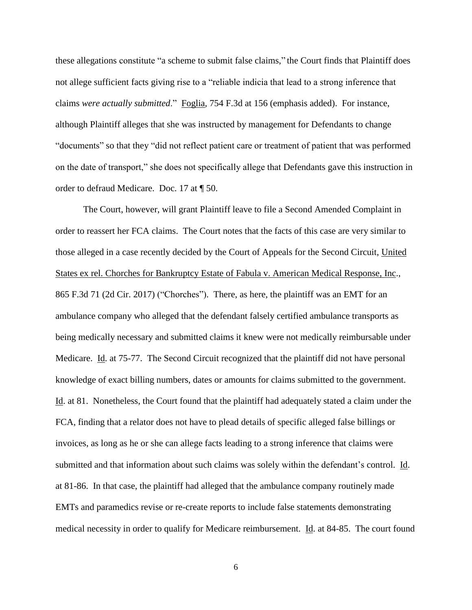these allegations constitute "a scheme to submit false claims," the Court finds that Plaintiff does not allege sufficient facts giving rise to a "reliable indicia that lead to a strong inference that claims *were actually submitted*." Foglia, 754 F.3d at 156 (emphasis added). For instance, although Plaintiff alleges that she was instructed by management for Defendants to change "documents" so that they "did not reflect patient care or treatment of patient that was performed on the date of transport," she does not specifically allege that Defendants gave this instruction in order to defraud Medicare. Doc. 17 at ¶ 50.

The Court, however, will grant Plaintiff leave to file a Second Amended Complaint in order to reassert her FCA claims. The Court notes that the facts of this case are very similar to those alleged in a case recently decided by the Court of Appeals for the Second Circuit, United States ex rel. Chorches for Bankruptcy Estate of Fabula v. American Medical Response, Inc., 865 F.3d 71 (2d Cir. 2017) ("Chorches"). There, as here, the plaintiff was an EMT for an ambulance company who alleged that the defendant falsely certified ambulance transports as being medically necessary and submitted claims it knew were not medically reimbursable under Medicare. Id. at 75-77. The Second Circuit recognized that the plaintiff did not have personal knowledge of exact billing numbers, dates or amounts for claims submitted to the government. Id. at 81. Nonetheless, the Court found that the plaintiff had adequately stated a claim under the FCA, finding that a relator does not have to plead details of specific alleged false billings or invoices, as long as he or she can allege facts leading to a strong inference that claims were submitted and that information about such claims was solely within the defendant's control. Id. at 81-86. In that case, the plaintiff had alleged that the ambulance company routinely made EMTs and paramedics revise or re-create reports to include false statements demonstrating medical necessity in order to qualify for Medicare reimbursement. Id. at 84-85. The court found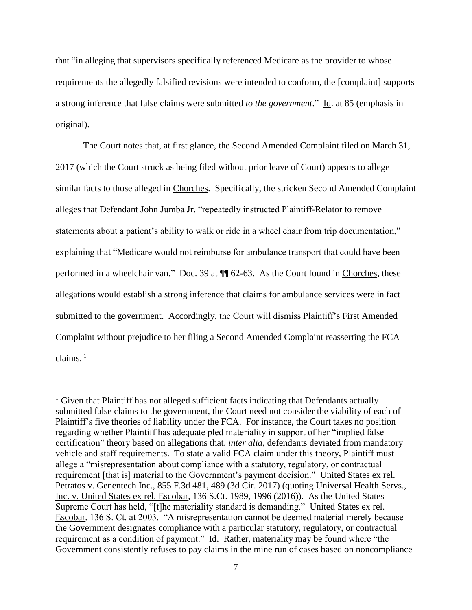that "in alleging that supervisors specifically referenced Medicare as the provider to whose requirements the allegedly falsified revisions were intended to conform, the [complaint] supports a strong inference that false claims were submitted *to the government*." Id. at 85 (emphasis in original).

The Court notes that, at first glance, the Second Amended Complaint filed on March 31, 2017 (which the Court struck as being filed without prior leave of Court) appears to allege similar facts to those alleged in Chorches. Specifically, the stricken Second Amended Complaint alleges that Defendant John Jumba Jr. "repeatedly instructed Plaintiff-Relator to remove statements about a patient's ability to walk or ride in a wheel chair from trip documentation," explaining that "Medicare would not reimburse for ambulance transport that could have been performed in a wheelchair van." Doc. 39 at ¶¶ 62-63. As the Court found in Chorches, these allegations would establish a strong inference that claims for ambulance services were in fact submitted to the government. Accordingly, the Court will dismiss Plaintiff's First Amended Complaint without prejudice to her filing a Second Amended Complaint reasserting the FCA claims. 1

 $\overline{a}$ 

 $<sup>1</sup>$  Given that Plaintiff has not alleged sufficient facts indicating that Defendants actually</sup> submitted false claims to the government, the Court need not consider the viability of each of Plaintiff's five theories of liability under the FCA. For instance, the Court takes no position regarding whether Plaintiff has adequate pled materiality in support of her "implied false certification" theory based on allegations that, *inter alia*, defendants deviated from mandatory vehicle and staff requirements. To state a valid FCA claim under this theory, Plaintiff must allege a "misrepresentation about compliance with a statutory, regulatory, or contractual requirement [that is] material to the Government's payment decision." United States ex rel. Petratos v. Genentech Inc., 855 F.3d 481, 489 (3d Cir. 2017) (quoting Universal Health Servs., Inc. v. United States ex rel. Escobar, 136 S.Ct. 1989, 1996 (2016)). As the United States Supreme Court has held, "[t]he materiality standard is demanding." United States ex rel. Escobar, 136 S. Ct. at 2003. "A misrepresentation cannot be deemed material merely because the Government designates compliance with a particular statutory, regulatory, or contractual requirement as a condition of payment." Id. Rather, materiality may be found where "the Government consistently refuses to pay claims in the mine run of cases based on noncompliance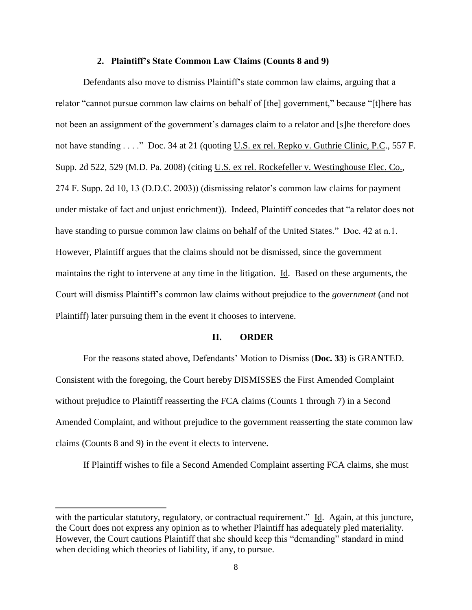#### **2. Plaintiff's State Common Law Claims (Counts 8 and 9)**

Defendants also move to dismiss Plaintiff's state common law claims, arguing that a relator "cannot pursue common law claims on behalf of [the] government," because "[t]here has not been an assignment of the government's damages claim to a relator and [s]he therefore does not have standing . . . ." Doc. 34 at 21 (quoting U.S. ex rel. Repko v. Guthrie Clinic, P.C., 557 F. Supp. 2d 522, 529 (M.D. Pa. 2008) (citing U.S. ex rel. Rockefeller v. Westinghouse Elec. Co., 274 F. Supp. 2d 10, 13 (D.D.C. 2003)) (dismissing relator's common law claims for payment under mistake of fact and unjust enrichment)). Indeed, Plaintiff concedes that "a relator does not have standing to pursue common law claims on behalf of the United States." Doc. 42 at n.1. However, Plaintiff argues that the claims should not be dismissed, since the government maintains the right to intervene at any time in the litigation. Id. Based on these arguments, the Court will dismiss Plaintiff's common law claims without prejudice to the *government* (and not Plaintiff) later pursuing them in the event it chooses to intervene.

#### **II. ORDER**

For the reasons stated above, Defendants' Motion to Dismiss (**Doc. 33**) is GRANTED. Consistent with the foregoing, the Court hereby DISMISSES the First Amended Complaint without prejudice to Plaintiff reasserting the FCA claims (Counts 1 through 7) in a Second Amended Complaint, and without prejudice to the government reasserting the state common law claims (Counts 8 and 9) in the event it elects to intervene.

If Plaintiff wishes to file a Second Amended Complaint asserting FCA claims, she must

 $\overline{a}$ 

with the particular statutory, regulatory, or contractual requirement." Id. Again, at this juncture, the Court does not express any opinion as to whether Plaintiff has adequately pled materiality. However, the Court cautions Plaintiff that she should keep this "demanding" standard in mind when deciding which theories of liability, if any, to pursue.